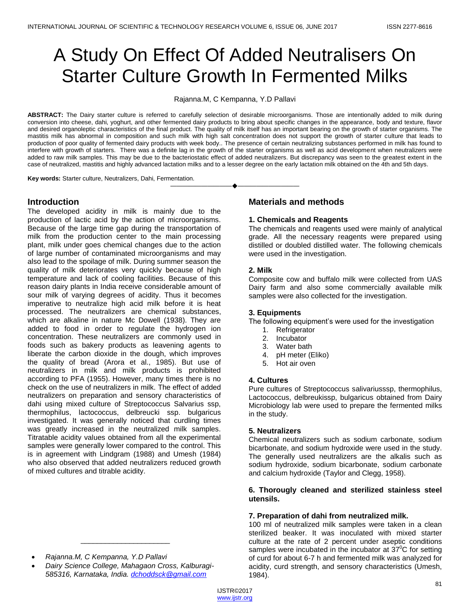# A Study On Effect Of Added Neutralisers On Starter Culture Growth In Fermented Milks

Rajanna.M, C Kempanna, Y.D Pallavi

**ABSTRACT:** The Dairy starter culture is referred to carefully selection of desirable microorganisms. Those are intentionally added to milk during conversion into cheese, dahi, yoghurt, and other fermented dairy products to bring about specific changes in the appearance, body and texture, flavor and desired organoleptic characteristics of the final product. The quality of milk itself has an important bearing on the growth of starter organisms. The mastitis milk has abnormal in composition and such milk with high salt concentration does not support the growth of starter culture that leads to production of poor quality of fermented dairy products with week body.. The presence of certain neutralizing substances performed in milk has found to interfere with growth of starters. There was a definite lag in the growth of the starter organisms as well as acid development when neutralizers were added to raw milk samples. This may be due to the bacteriostatic effect of added neutralizers. But discrepancy was seen to the greatest extent in the case of neutralized, mastitis and highly advanced lactation milks and to a lesser degree on the early lactation milk obtained on the 4th and 5th days.

————————————————————

**Key words:** Starter culture, Neutralizers, Dahi, Fermentation.

# **Introduction**

The developed acidity in milk is mainly due to the production of lactic acid by the action of microorganisms. Because of the large time gap during the transportation of milk from the production center to the main processing plant, milk under goes chemical changes due to the action of large number of contaminated microorganisms and may also lead to the spoilage of milk. During summer season the quality of milk deteriorates very quickly because of high temperature and lack of cooling facilities. Because of this reason dairy plants in India receive considerable amount of sour milk of varying degrees of acidity. Thus it becomes imperative to neutralize high acid milk before it is heat processed. The neutralizers are chemical substances, which are alkaline in nature Mc Dowell (1938). They are added to food in order to regulate the hydrogen ion concentration. These neutralizers are commonly used in foods such as bakery products as leavening agents to liberate the carbon dioxide in the dough, which improves the quality of bread (Arora et al., 1985). But use of neutralizers in milk and milk products is prohibited according to PFA (1955). However, many times there is no check on the use of neutralizers in milk. The effect of added neutralizers on preparation and sensory characteristics of dahi using mixed culture of Streptococcus Salvarius ssp, thermophilus, lactococcus, delbreucki ssp. bulgaricus investigated. It was generally noticed that curdling times was greatly increased in the neutralized milk samples. Titratable acidity values obtained from all the experimental samples were generally lower compared to the control. This is in agreement with Lindgram (1988) and Umesh (1984) who also observed that added neutralizers reduced growth of mixed cultures and titrable acidity.

#### *Rajanna.M, C Kempanna, Y.D Pallavi*

 *Dairy Science College, Mahagaon Cross, Kalburagi-585316, Karnataka, India. [dchoddsck@gmail.com](mailto:dchoddsck@gmail.com)*

\_\_\_\_\_\_\_\_\_\_\_\_\_\_\_\_\_\_\_\_\_\_

# **Materials and methods**

## **1. Chemicals and Reagents**

The chemicals and reagents used were mainly of analytical grade. All the necessary reagents were prepared using distilled or doubled distilled water. The following chemicals were used in the investigation.

## **2. Milk**

Composite cow and buffalo milk were collected from UAS Dairy farm and also some commercially available milk samples were also collected for the investigation.

#### **3. Equipments**

The following equipment's were used for the investigation

- 1. Refrigerator
- 2. Incubator
- 3. Water bath
- 4. pH meter (Eliko)
- 5. Hot air oven

# **4. Cultures**

Pure cultures of Streptococcus salivariusssp, thermophilus, Lactococcus, delbreukissp, bulgaricus obtained from Dairy Microbiology lab were used to prepare the fermented milks in the study.

#### **5. Neutralizers**

Chemical neutralizers such as sodium carbonate, sodium bicarbonate, and sodium hydroxide were used in the study. The generally used neutralizers are the alkalis such as sodium hydroxide, sodium bicarbonate, sodium carbonate and calcium hydroxide (Taylor and Clegg, 1958).

## **6. Thorougly cleaned and sterilized stainless steel utensils.**

# **7. Preparation of dahi from neutralized milk.**

100 ml of neutralized milk samples were taken in a clean sterilized beaker. It was inoculated with mixed starter culture at the rate of 2 percent under aseptic conditions samples were incubated in the incubator at  $37^{\circ}$ C for setting of curd for about 6-7 h and fermented milk was analyzed for acidity, curd strength, and sensory characteristics (Umesh, 1984).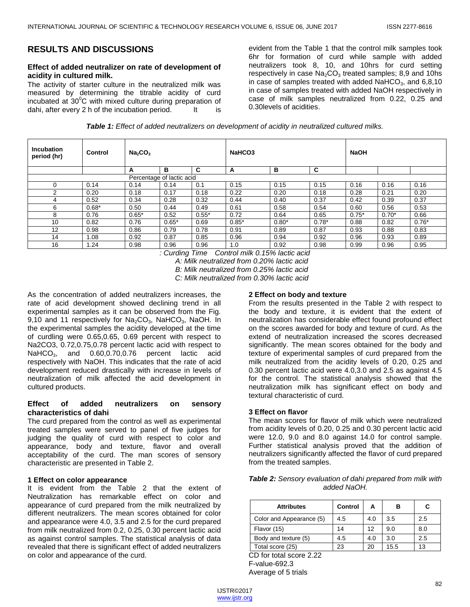# **RESULTS AND DISCUSSIONS**

# **Effect of added neutralizer on rate of development of acidity in cultured milk.**

The activity of starter culture in the neutralized milk was measured by determining the titrable acidity of curd incubated at  $30^{\circ}$ C with mixed culture during preparation of dahi, after every 2 h of the incubation period. It is

evident from the Table 1 that the control milk samples took 6hr for formation of curd while sample with added neutralizers took 8, 10, and 10hrs for curd setting respectively in case  $Na<sub>2</sub>CO<sub>3</sub>$  treated samples; 8,9 and 10hs in case of samples treated with added  $NaHCO<sub>3</sub>$ , and 6,8,10 in case of samples treated with added NaOH respectively in case of milk samples neutralized from 0.22, 0.25 and 0.30levels of acidities.

| <b>Table 1:</b> Effect of added neutralizers on development of acidity in neutralized cultured milks. |
|-------------------------------------------------------------------------------------------------------|
|-------------------------------------------------------------------------------------------------------|

| <b>Incubation</b><br>period (hr) | Control | Na <sub>2</sub> CO <sub>3</sub> |                           |         | NaHCO <sub>3</sub> |         |         | <b>NaOH</b> |         |         |
|----------------------------------|---------|---------------------------------|---------------------------|---------|--------------------|---------|---------|-------------|---------|---------|
|                                  |         | A                               | в                         | C       | A                  | в       | C       |             |         |         |
|                                  |         |                                 | Percentage of lactic acid |         |                    |         |         |             |         |         |
| 0                                | 0.14    | 0.14                            | 0.14                      | 0.1     | 0.15               | 0.15    | 0.15    | 0.16        | 0.16    | 0.16    |
| ◠                                | 0.20    | 0.18                            | 0.17                      | 0.18    | 0.22               | 0.20    | 0.18    | 0.28        | 0.21    | 0.20    |
| 4                                | 0.52    | 0.34                            | 0.28                      | 0.32    | 0.44               | 0.40    | 0.37    | 0.42        | 0.39    | 0.37    |
| 6                                | $0.68*$ | 0.50                            | 0.44                      | 0.49    | 0.61               | 0.58    | 0.54    | 0.60        | 0.56    | 0.53    |
| 8                                | 0.76    | $0.65*$                         | 0.52                      | $0.55*$ | 0.72               | 0.64    | 0.65    | $0.75*$     | $0.70*$ | 0.66    |
| 10                               | 0.82    | 0.76                            | $0.65*$                   | 0.69    | $0.85*$            | $0.80*$ | $0.78*$ | 0.88        | 0.82    | $0.76*$ |
| 12                               | 0.98    | 0.86                            | 0.79                      | 0.78    | 0.91               | 0.89    | 0.87    | 0.93        | 0.88    | 0.83    |
| 14                               | 1.08    | 0.92                            | 0.87                      | 0.85    | 0.96               | 0.94    | 0.92    | 0.96        | 0.93    | 0.89    |
| 16                               | .24     | 0.98                            | 0.96                      | 0.96    | 1.0                | 0.92    | 0.98    | 0.99        | 0.96    | 0.95    |

*: Curding Time Control milk 0.15% lactic acid*

*A: Milk neutralized from 0.20% lactic acid*

*B: Milk neutralized from 0.25% lactic acid*

*C: Milk neutralized from 0.30% lactic acid*

As the concentration of added neutralizers increases, the rate of acid development showed declining trend in all experimental samples as it can be observed from the Fig. 9,10 and 11 respectively for  $Na<sub>2</sub>CO<sub>3</sub>$ , NaHCO<sub>3</sub>, NaOH. In the experimental samples the acidity developed at the time of curdling were 0.65,0.65, 0.69 percent with respect to Na2CO3, 0.72,0.75,0.78 percent lactic acid with respect to NaHCO<sub>3</sub>, and 0.60,0.70,0.76 percent lactic acid respectively with NaOH. This indicates that the rate of acid development reduced drastically with increase in levels of neutralization of milk affected the acid development in cultured products.

## **Effect of added neutralizers on sensory characteristics of dahi**

The curd prepared from the control as well as experimental treated samples were served to panel of five judges for judging the quality of curd with respect to color and appearance, body and texture, flavor and overall acceptability of the curd. The man scores of sensory characteristic are presented in Table 2.

## **1 Effect on color appearance**

It is evident from the Table 2 that the extent of Neutralization has remarkable effect on color and appearance of curd prepared from the milk neutralized by different neutralizers. The mean scores obtained for color and appearance were 4.0, 3.5 and 2.5 for the curd prepared from milk neutralized from 0.2, 0.25, 0.30 percent lactic acid as against control samples. The statistical analysis of data revealed that there is significant effect of added neutralizers on color and appearance of the curd.

#### **2 Effect on body and texture**

From the results presented in the Table 2 with respect to the body and texture, it is evident that the extent of neutralization has considerable effect found profound effect on the scores awarded for body and texture of curd. As the extend of neutralization increased the scores decreased significantly. The mean scores obtained for the body and texture of experimental samples of curd prepared from the milk neutralized from the acidity levels of 0.20, 0.25 and 0.30 percent lactic acid were 4.0,3.0 and 2.5 as against 4.5 for the control. The statistical analysis showed that the neutralization milk has significant effect on body and textural characteristic of curd.

#### **3 Effect on flavor**

The mean scores for flavor of milk which were neutralized from acidity levels of 0.20, 0.25 and 0.30 percent lactic acid were 12.0, 9.0 and 8.0 against 14.0 for control sample. Further statistical analysis proved that the addition of neutralizers significantly affected the flavor of curd prepared from the treated samples.

| Table 2: Sensory evaluation of dahi prepared from milk with |  |  |  |  |  |  |
|-------------------------------------------------------------|--|--|--|--|--|--|
| added NaOH.                                                 |  |  |  |  |  |  |

| <b>Attributes</b>        | Control | А   | в    | С   |
|--------------------------|---------|-----|------|-----|
| Color and Appearance (5) | 4.5     | 4.0 | 3.5  | 2.5 |
| Flavor (15)              | 14      | 12  | 9.0  | 8.0 |
| Body and texture (5)     | 4.5     | 4.0 | 3.0  | 2.5 |
| Total score (25)         | 23      | 20  | 15.5 | 13  |

CD for total score 2.22 F-value-692.3 Average of 5 trials